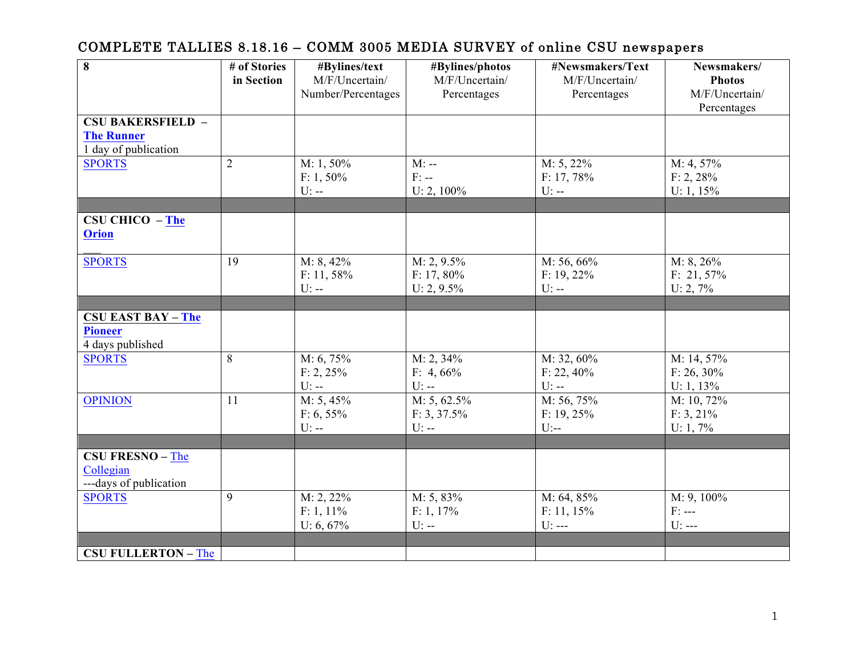| $\overline{\mathbf{8}}$                     | # of Stories   | #Bylines/text                        | #Bylines/photos               | #Newsmakers/Text              | Newsmakers/                     |
|---------------------------------------------|----------------|--------------------------------------|-------------------------------|-------------------------------|---------------------------------|
|                                             | in Section     | M/F/Uncertain/<br>Number/Percentages | M/F/Uncertain/<br>Percentages | M/F/Uncertain/<br>Percentages | <b>Photos</b><br>M/F/Uncertain/ |
|                                             |                |                                      |                               |                               | Percentages                     |
| <b>CSU BAKERSFIELD -</b>                    |                |                                      |                               |                               |                                 |
| <b>The Runner</b>                           |                |                                      |                               |                               |                                 |
| 1 day of publication<br><b>SPORTS</b>       | $\overline{2}$ | M: 1, 50%                            | $M$ : --                      | $M: 5, 22\%$                  | M: 4, 57%                       |
|                                             |                | $F: 1, 50\%$                         | $F: -$                        | F: 17, 78%                    | F: 2, 28%                       |
|                                             |                | $U$ : --                             | U: $2, 100\%$                 | $U$ : --                      | U: $1, 15%$                     |
|                                             |                |                                      |                               |                               |                                 |
| <b>CSU CHICO - The</b>                      |                |                                      |                               |                               |                                 |
| <b>Orion</b>                                |                |                                      |                               |                               |                                 |
| <b>SPORTS</b>                               | 19             | $M: 8, 42\%$                         | $M: 2, 9.5\%$                 | M: 56, 66%                    | M: 8, 26%                       |
|                                             |                | $F: 11, 58\%$                        | $F: 17, 80\%$                 | $F: 19, 22\%$                 | $F: 21, 57\%$                   |
|                                             |                | $U$ : --                             | $U: 2, 9.5\%$                 | $U$ : --                      | U: 2, 7%                        |
|                                             |                |                                      |                               |                               |                                 |
| <b>CSU EAST BAY - The</b><br><b>Pioneer</b> |                |                                      |                               |                               |                                 |
| 4 days published                            |                |                                      |                               |                               |                                 |
| <b>SPORTS</b>                               | 8              | M: 6, 75%                            | M: 2, 34%                     | M: 32, 60%                    | M: 14, 57%                      |
|                                             |                | F: 2, 25%                            | F: 4, $66\%$                  | $F: 22, 40\%$                 | $F: 26, 30\%$                   |
|                                             |                | $U$ --                               | $\mathbf{U}$ :--              | $U$ : --                      | U: $1, 13\%$                    |
| <b>OPINION</b>                              | 11             | M: 5, 45%                            | $M: 5, 62.5\%$                | M: 56, 75%                    | M: 10, 72%                      |
|                                             |                | $F: 6, 55\%$<br>$\mathbf{U}$ :--     | F: 3, 37.5%<br>$U$ : --       | F: 19, 25%<br>$U$ :--         | $F: 3, 21\%$<br>U: 1, 7%        |
|                                             |                |                                      |                               |                               |                                 |
| <b>CSU FRESNO - The</b>                     |                |                                      |                               |                               |                                 |
| Collegian                                   |                |                                      |                               |                               |                                 |
| ---days of publication                      |                |                                      |                               |                               |                                 |
| <b>SPORTS</b>                               | 9              | M: 2, 22%                            | M: 5, 83%                     | M: 64, 85%                    | $M: 9, 100\%$                   |
|                                             |                | $F: 1, 11\%$                         | $F: 1, 17\%$                  | $F: 11, 15\%$                 | $F: ---$                        |
|                                             |                | $U: 6, 67\%$                         | $U$ : --                      | $U: --$                       | $U: --$                         |
| <b>CSU FULLERTON - The</b>                  |                |                                      |                               |                               |                                 |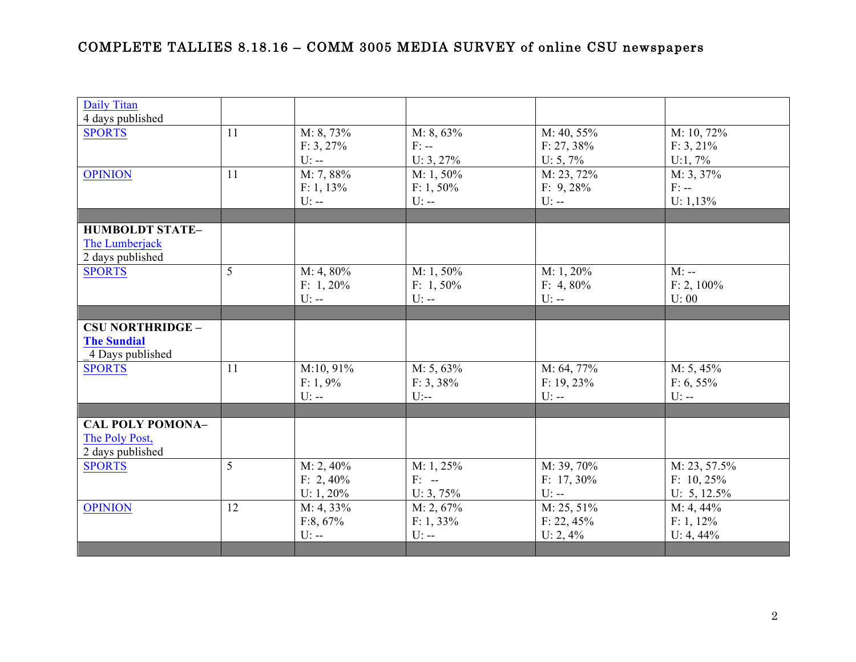| Daily Titan             |    |              |              |               |                |
|-------------------------|----|--------------|--------------|---------------|----------------|
| 4 days published        | 11 | M: 8, 73%    | $M: 8, 63\%$ | M: 40, 55%    | $M: 10, 72\%$  |
| <b>SPORTS</b>           |    |              | $F: --$      |               |                |
|                         |    | $F: 3, 27\%$ |              | $F: 27, 38\%$ | $F: 3, 21\%$   |
|                         |    | $U$ : --     | $U: 3, 27\%$ | $U: 5, 7\%$   | U:1, 7%        |
| <b>OPINION</b>          | 11 | M: 7, 88%    | $M: 1, 50\%$ | M: 23, 72%    | $M: 3, 37\%$   |
|                         |    | $F: 1, 13\%$ | $F: 1, 50\%$ | F: 9,28%      | $F: -$         |
|                         |    | $U$ : --     | $U$ : --     | $U$ : --      | $U: 1,13\%$    |
|                         |    |              |              |               |                |
| <b>HUMBOLDT STATE-</b>  |    |              |              |               |                |
| The Lumberjack          |    |              |              |               |                |
| 2 days published        |    |              |              |               |                |
| <b>SPORTS</b>           | 5  | $M: 4, 80\%$ | $M: 1, 50\%$ | $M: 1, 20\%$  | $M$ : --       |
|                         |    | $F: 1, 20\%$ | $F: 1, 50\%$ | F: $4,80\%$   | $F: 2, 100\%$  |
|                         |    | $U: -$       | $U$ : --     | $U$ : --      | U: 00          |
|                         |    |              |              |               |                |
| <b>CSU NORTHRIDGE -</b> |    |              |              |               |                |
| <b>The Sundial</b>      |    |              |              |               |                |
| 4 Days published        |    |              |              |               |                |
| <b>SPORTS</b>           | 11 | M:10, 91%    | $M: 5, 63\%$ | M: 64, 77%    | $M: 5, 45\%$   |
|                         |    | F: 1, 9%     | F: 3, 38%    | $F: 19, 23\%$ | $F: 6, 55\%$   |
|                         |    | $U$ : --     | $U$ :--      | $U$ : --      | $U$ : --       |
|                         |    |              |              |               |                |
| <b>CAL POLY POMONA-</b> |    |              |              |               |                |
| The Poly Post,          |    |              |              |               |                |
| 2 days published        |    |              |              |               |                |
| <b>SPORTS</b>           | 5  | $M: 2, 40\%$ | M: 1, 25%    | M: 39, 70%    | M: 23, 57.5%   |
|                         |    | $F: 2,40\%$  | $F: -$       | F: $17,30\%$  | $F: 10, 25\%$  |
|                         |    | U: $1,20%$   | $U: 3, 75\%$ | $U$ : --      | U: $5, 12.5\%$ |
| <b>OPINION</b>          | 12 | M: 4, 33%    | M: 2, 67%    | $M: 25, 51\%$ | M: 4, 44%      |
|                         |    | F:8, 67%     | $F: 1, 33\%$ | F: 22, 45%    | $F: 1, 12\%$   |
|                         |    | $U$ : --     | $U$ : --     | U: 2, 4%      | U: $4,44\%$    |
|                         |    |              |              |               |                |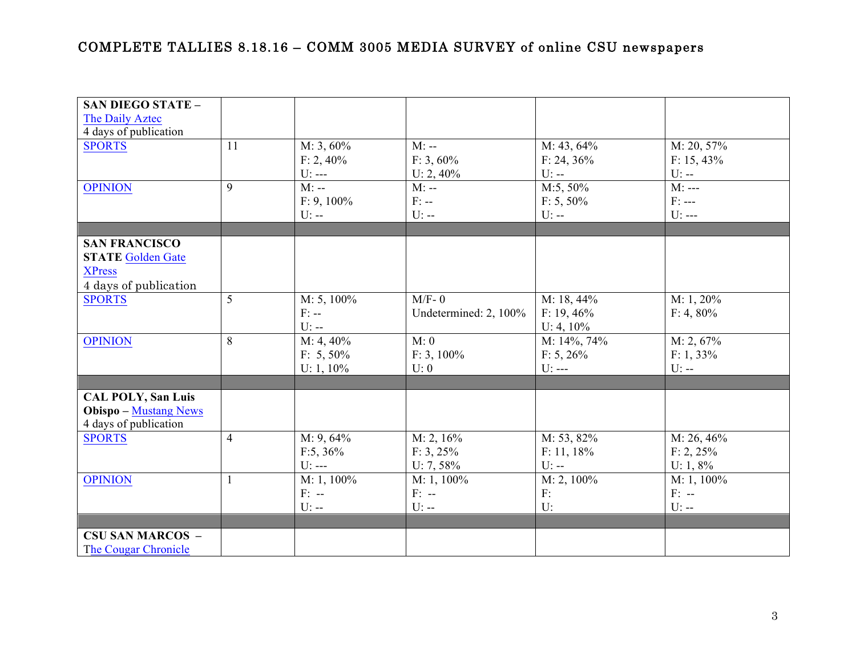| <b>SAN DIEGO STATE -</b>     |                |               |                       |               |               |
|------------------------------|----------------|---------------|-----------------------|---------------|---------------|
| The Daily Aztec              |                |               |                       |               |               |
| 4 days of publication        |                |               |                       |               |               |
| <b>SPORTS</b>                | 11             | $M: 3, 60\%$  | $M: -$                | M: 43, 64%    | M: 20, 57%    |
|                              |                | $F: 2, 40\%$  | $F: 3, 60\%$          | $F: 24, 36\%$ | $F: 15, 43\%$ |
|                              |                | $U: --$       | U: $2,40\%$           | $U$ : --      | $U$ : --      |
| <b>OPINION</b>               | 9              | $M$ : --      | $M$ : --              | M:5, 50%      | $M: --$       |
|                              |                | $F: 9, 100\%$ | $F: -$                | $F: 5, 50\%$  | $F: ---$      |
|                              |                | $U$ : --      | $U$ : --              | $U$ : --      | $U: --$       |
|                              |                |               |                       |               |               |
| <b>SAN FRANCISCO</b>         |                |               |                       |               |               |
| <b>STATE Golden Gate</b>     |                |               |                       |               |               |
| <b>XPress</b>                |                |               |                       |               |               |
| 4 days of publication        |                |               |                       |               |               |
| <b>SPORTS</b>                | 5              | $M: 5, 100\%$ | $M/F-0$               | M: 18, 44%    | M: 1, 20%     |
|                              |                | $F: --$       | Undetermined: 2, 100% | $F: 19, 46\%$ | $F: 4, 80\%$  |
|                              |                | $U: -$        |                       | $U: 4, 10\%$  |               |
| <b>OPINION</b>               | 8              | $M: 4, 40\%$  | M: 0                  | M: 14%, 74%   | M: 2, 67%     |
|                              |                | $F: 5, 50\%$  | $F: 3, 100\%$         | $F: 5, 26\%$  | $F: 1, 33\%$  |
|                              |                | U: 1, $10\%$  | U: 0                  | $U: --$       | $U$ : --      |
|                              |                |               |                       |               |               |
| <b>CAL POLY, San Luis</b>    |                |               |                       |               |               |
| <b>Obispo</b> - Mustang News |                |               |                       |               |               |
| 4 days of publication        |                |               |                       |               |               |
| <b>SPORTS</b>                | $\overline{4}$ | M: 9, 64%     | M: 2, 16%             | M: 53, 82%    | M: 26, 46%    |
|                              |                | F:5, 36%      | F: 3, 25%             | $F: 11, 18\%$ | F: 2, 25%     |
|                              |                | $U: --$       | $U: 7, 58\%$          | $U$ : --      | $U: 1, 8\%$   |
| <b>OPINION</b>               |                | $M: 1, 100\%$ | $M: 1, 100\%$         | $M: 2, 100\%$ | $M: 1, 100\%$ |
|                              |                | $F: -$        | $F: -$                | F:            | $F: -$        |
|                              |                | $U$ : --      | $U$ : --              | U:            | $U$ : --      |
|                              |                |               |                       |               |               |
| <b>CSU SAN MARCOS -</b>      |                |               |                       |               |               |
| The Cougar Chronicle         |                |               |                       |               |               |